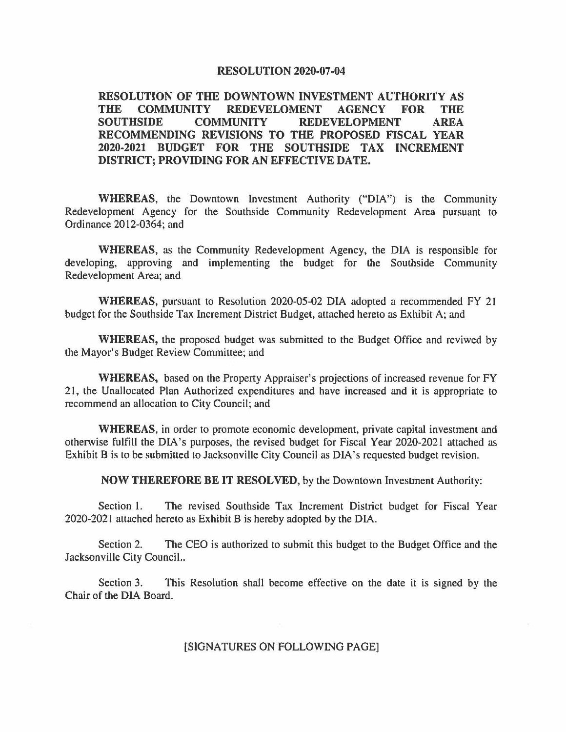## **RESOLUTION 2020-07-04**

**RESOLUTION OF THE DOWNTOWN INVESTMENT AUTHORITY AS THE COMMUNITY REDEVELOMENT AGENCY FOR THE SOUTHSIDE COMMUNITY REDEVELOPMENT AREA RECOMMENDING REVISIONS TO THE PROPOSED FISCAL YEAR 2020-2021 BUDGET FOR THE SOUTHSIDE TAX INCREMENT DISTRICT; PROVIDING FOR AN EFFECTIVE DATE.** 

**WHEREAS,** the Downtown Investment Authority ("DIA") is the Community Redevelopment Agency for the Southside Community Redevelopment Area pursuant to Ordinance 2012-0364; and

**WHEREAS,** as the Community Redevelopment Agency, the DIA is responsible for developing, approving and implementing the budget for the Southside Community Redevelopment Area; and

**WHEREAS,** pursuant to Resolution 2020-05-02 DIA adopted a recommended FY 21 budget for the Southside Tax Increment District Budget, attached hereto as Exhibit A; and

**WHEREAS,** the proposed budget was submitted to the Budget Office and reviwed by the Mayor's Budget Review Committee; and

**WHEREAS,** based on the Property Appraiser's projections of increased revenue for FY 21, the Unallocated Plan Authorized expenditures and have increased and it is appropriate to recommend an allocation to City Council; and

**WHEREAS,** in order to promote economic development, private capital investment and otherwise fulfill the DIA's purposes, the revised budget for Fiscal Year 2020-2021 attached as Exhibit Bis to be submitted to Jacksonville City Council as DIA's requested budget revision.

**NOW THEREFORE BE IT RESOLVED,** by the Downtown Investment Authority:

Section 1. The revised Southside Tax Increment District budget for Fiscal Year 2020-2021 attached hereto as Exhibit Bis hereby adopted by the DIA.

Section 2. The CEO is authorized to submit this budget to the Budget Office and the Jacksonville City Council..

Section 3. This Resolution shall become effective on the date it is signed by the Chair of the DIA Board.

## [SIGNATURES ON FOLLOWING PAGE]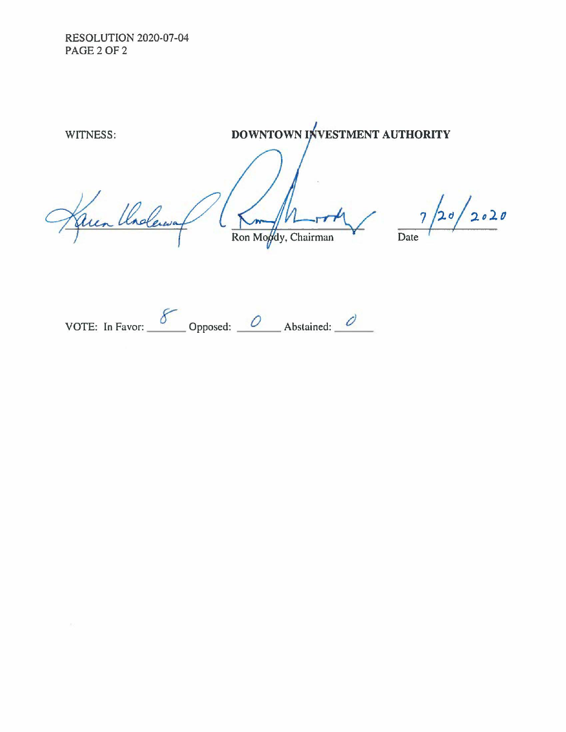RESOLUTION 2020-07-04 **PAGE 2 OF 2** 

WITNESS: **STATE BOWNTOWN INVESTMENT AUTHORITY**  $7/20/2020$ Karen Underway Ron Mogdy, Chairman Date

VOTE: In Favor:  $\frac{8}{\sqrt{2}}$  Opposed: <u>O</u> Abstained: <u>O</u>